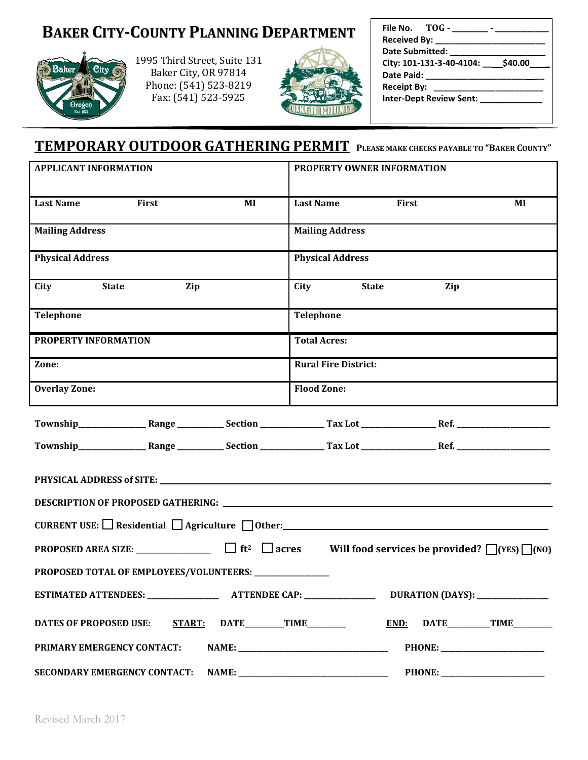# **BAKER CITY-COUNTY PLANNING DEPARTMENT**



1995 Third Street, Suite 131 Baker City, OR 97814 Phone: (541) 523-8219 Fax: (541) 523-5925



| File No. TOG - TOG -                         |  |
|----------------------------------------------|--|
| Received By: ______                          |  |
| <b>Date Submitted:</b>                       |  |
| City: 101-131-3-40-4104: ____ \$40.00        |  |
| Date Paid: ______                            |  |
| <b>Receipt By:</b><br>______________________ |  |
| <b>Inter-Dept Review Sent:</b>               |  |
|                                              |  |

# **TEMPORARY OUTDOOR GATHERING PERMIT <sup>P</sup>LEASE MAKE CHECKS PAYABLE TO "BAKER COUNTY"**

| <b>APPLICANT INFORMATION</b>                             | PROPERTY OWNER INFORMATION              |  |  |  |  |  |  |  |  |  |  |  |  |
|----------------------------------------------------------|-----------------------------------------|--|--|--|--|--|--|--|--|--|--|--|--|
| <b>Last Name</b><br>First<br>MI                          | First<br><b>Last Name</b><br>MI         |  |  |  |  |  |  |  |  |  |  |  |  |
| <b>Mailing Address</b>                                   | <b>Mailing Address</b>                  |  |  |  |  |  |  |  |  |  |  |  |  |
| <b>Physical Address</b>                                  | <b>Physical Address</b>                 |  |  |  |  |  |  |  |  |  |  |  |  |
| City<br><b>State</b><br>Zip                              | <b>State</b><br>City<br>Zip             |  |  |  |  |  |  |  |  |  |  |  |  |
| Telephone                                                | Telephone                               |  |  |  |  |  |  |  |  |  |  |  |  |
| PROPERTY INFORMATION                                     | <b>Total Acres:</b>                     |  |  |  |  |  |  |  |  |  |  |  |  |
| Zone:                                                    | <b>Rural Fire District:</b>             |  |  |  |  |  |  |  |  |  |  |  |  |
| <b>Overlay Zone:</b>                                     | <b>Flood Zone:</b>                      |  |  |  |  |  |  |  |  |  |  |  |  |
|                                                          |                                         |  |  |  |  |  |  |  |  |  |  |  |  |
|                                                          |                                         |  |  |  |  |  |  |  |  |  |  |  |  |
|                                                          |                                         |  |  |  |  |  |  |  |  |  |  |  |  |
|                                                          |                                         |  |  |  |  |  |  |  |  |  |  |  |  |
|                                                          |                                         |  |  |  |  |  |  |  |  |  |  |  |  |
|                                                          |                                         |  |  |  |  |  |  |  |  |  |  |  |  |
| PROPOSED TOTAL OF EMPLOYEES/VOLUNTEERS: ______________   |                                         |  |  |  |  |  |  |  |  |  |  |  |  |
| <b>ESTIMATED ATTENDEES: _</b><br><b>ATTENDEE CAP: __</b> | DURATION (DAYS): _                      |  |  |  |  |  |  |  |  |  |  |  |  |
| <b>START:</b><br><b>DATES OF PROPOSED USE:</b>           | $\text{DATE}$ TIME<br>END:<br>DATE TIME |  |  |  |  |  |  |  |  |  |  |  |  |
| PRIMARY EMERGENCY CONTACT:                               | PHONE: __________________________       |  |  |  |  |  |  |  |  |  |  |  |  |
|                                                          | <b>PHONE:</b> ____________              |  |  |  |  |  |  |  |  |  |  |  |  |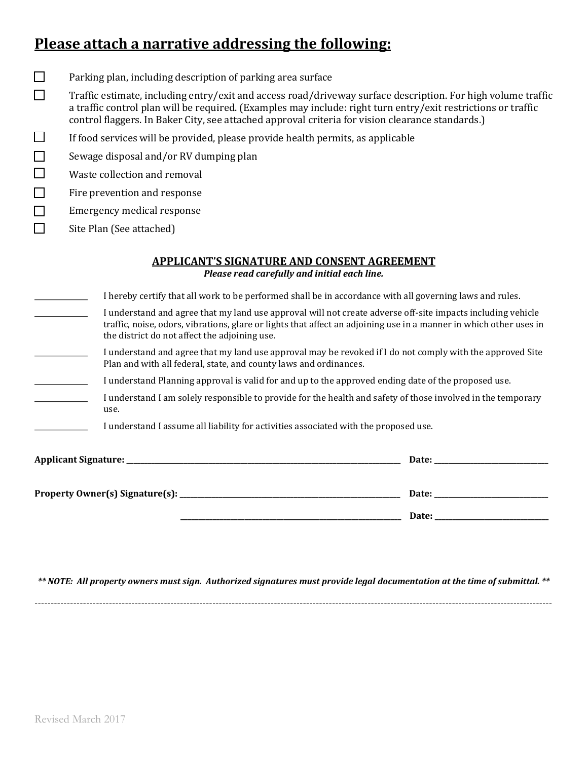### **Please attach a narrative addressing the following:**

- $\Box$ Parking plan, including description of parking area surface
- $\Box$ Traffic estimate, including entry/exit and access road/driveway surface description. For high volume traffic a traffic control plan will be required. (Examples may include: right turn entry/exit restrictions or traffic control flaggers. In Baker City, see attached approval criteria for vision clearance standards.)
- $\Box$ If food services will be provided, please provide health permits, as applicable
- П Sewage disposal and/or RV dumping plan
- П Waste collection and removal
- П Fire prevention and response
- П Emergency medical response
	- Site Plan (See attached)

П

#### **APPLICANT'S SIGNATURE AND CONSENT AGREEMENT** *Please read carefully and initial each line.*

| I hereby certify that all work to be performed shall be in accordance with all governing laws and rules.                                                                                                                                                                           |
|------------------------------------------------------------------------------------------------------------------------------------------------------------------------------------------------------------------------------------------------------------------------------------|
| I understand and agree that my land use approval will not create adverse off-site impacts including vehicle<br>traffic, noise, odors, vibrations, glare or lights that affect an adjoining use in a manner in which other uses in<br>the district do not affect the adjoining use. |
| I understand and agree that my land use approval may be revoked if I do not comply with the approved Site<br>Plan and with all federal, state, and county laws and ordinances.                                                                                                     |
| I understand Planning approval is valid for and up to the approved ending date of the proposed use.                                                                                                                                                                                |
| I understand I am solely responsible to provide for the health and safety of those involved in the temporary<br>use.                                                                                                                                                               |
| I understand I assume all liability for activities associated with the proposed use.                                                                                                                                                                                               |
| Date:                                                                                                                                                                                                                                                                              |
|                                                                                                                                                                                                                                                                                    |
| Property Owner(s) Signature(s): ___________<br>Date:                                                                                                                                                                                                                               |

 **\_\_\_\_\_\_\_\_\_\_\_\_\_\_\_\_\_\_\_\_\_\_\_\_\_\_\_\_\_\_\_\_\_\_\_\_\_\_\_\_\_\_\_\_\_\_\_\_\_\_\_\_\_\_\_\_\_\_\_\_\_\_ Date: \_\_\_\_\_\_\_\_\_\_\_\_\_\_\_\_\_\_\_\_\_\_\_\_\_\_\_\_\_\_\_\_**

*\*\* NOTE: All property owners must sign. Authorized signatures must provide legal documentation at the time of submittal. \*\**

**----------------------------------------------------------------------------------------------------------------------------------------------------------------**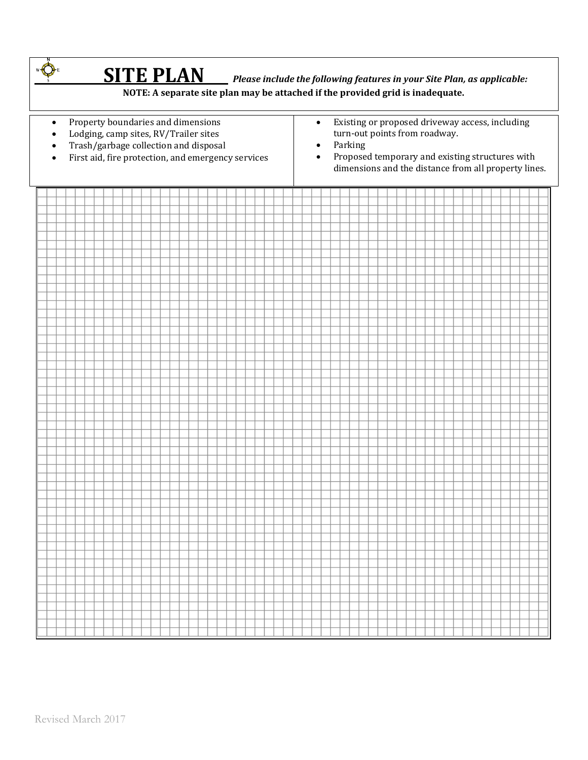|                                                  |  |                                                                                                                                                                            | <b>SITE PLAN</b> Please include the following features in your Site Plan, as applicable: |  | NOTE: A separate site plan may be attached if the provided grid is inadequate. |  |  |  |  |  |  |  |                                                                                                                                                                                                                                               |  |  |  |  |  |  |  |  |  |  |  |  |  |  |  |  |  |  |  |
|--------------------------------------------------|--|----------------------------------------------------------------------------------------------------------------------------------------------------------------------------|------------------------------------------------------------------------------------------|--|--------------------------------------------------------------------------------|--|--|--|--|--|--|--|-----------------------------------------------------------------------------------------------------------------------------------------------------------------------------------------------------------------------------------------------|--|--|--|--|--|--|--|--|--|--|--|--|--|--|--|--|--|--|--|
| $\bullet$<br>$\bullet$<br>$\bullet$<br>$\bullet$ |  | Property boundaries and dimensions<br>Lodging, camp sites, RV/Trailer sites<br>Trash/garbage collection and disposal<br>First aid, fire protection, and emergency services |                                                                                          |  |                                                                                |  |  |  |  |  |  |  | Existing or proposed driveway access, including<br>$\bullet$<br>turn-out points from roadway.<br>Parking<br>$\bullet$<br>Proposed temporary and existing structures with<br>$\bullet$<br>dimensions and the distance from all property lines. |  |  |  |  |  |  |  |  |  |  |  |  |  |  |  |  |  |  |  |
|                                                  |  |                                                                                                                                                                            |                                                                                          |  |                                                                                |  |  |  |  |  |  |  |                                                                                                                                                                                                                                               |  |  |  |  |  |  |  |  |  |  |  |  |  |  |  |  |  |  |  |
|                                                  |  |                                                                                                                                                                            |                                                                                          |  |                                                                                |  |  |  |  |  |  |  |                                                                                                                                                                                                                                               |  |  |  |  |  |  |  |  |  |  |  |  |  |  |  |  |  |  |  |
|                                                  |  |                                                                                                                                                                            |                                                                                          |  |                                                                                |  |  |  |  |  |  |  |                                                                                                                                                                                                                                               |  |  |  |  |  |  |  |  |  |  |  |  |  |  |  |  |  |  |  |
|                                                  |  |                                                                                                                                                                            |                                                                                          |  |                                                                                |  |  |  |  |  |  |  |                                                                                                                                                                                                                                               |  |  |  |  |  |  |  |  |  |  |  |  |  |  |  |  |  |  |  |
|                                                  |  |                                                                                                                                                                            |                                                                                          |  |                                                                                |  |  |  |  |  |  |  |                                                                                                                                                                                                                                               |  |  |  |  |  |  |  |  |  |  |  |  |  |  |  |  |  |  |  |
|                                                  |  |                                                                                                                                                                            |                                                                                          |  |                                                                                |  |  |  |  |  |  |  |                                                                                                                                                                                                                                               |  |  |  |  |  |  |  |  |  |  |  |  |  |  |  |  |  |  |  |
|                                                  |  |                                                                                                                                                                            |                                                                                          |  |                                                                                |  |  |  |  |  |  |  |                                                                                                                                                                                                                                               |  |  |  |  |  |  |  |  |  |  |  |  |  |  |  |  |  |  |  |
|                                                  |  |                                                                                                                                                                            |                                                                                          |  |                                                                                |  |  |  |  |  |  |  |                                                                                                                                                                                                                                               |  |  |  |  |  |  |  |  |  |  |  |  |  |  |  |  |  |  |  |
|                                                  |  |                                                                                                                                                                            |                                                                                          |  |                                                                                |  |  |  |  |  |  |  |                                                                                                                                                                                                                                               |  |  |  |  |  |  |  |  |  |  |  |  |  |  |  |  |  |  |  |
|                                                  |  |                                                                                                                                                                            |                                                                                          |  |                                                                                |  |  |  |  |  |  |  |                                                                                                                                                                                                                                               |  |  |  |  |  |  |  |  |  |  |  |  |  |  |  |  |  |  |  |
|                                                  |  |                                                                                                                                                                            |                                                                                          |  |                                                                                |  |  |  |  |  |  |  |                                                                                                                                                                                                                                               |  |  |  |  |  |  |  |  |  |  |  |  |  |  |  |  |  |  |  |
|                                                  |  |                                                                                                                                                                            |                                                                                          |  |                                                                                |  |  |  |  |  |  |  |                                                                                                                                                                                                                                               |  |  |  |  |  |  |  |  |  |  |  |  |  |  |  |  |  |  |  |
|                                                  |  |                                                                                                                                                                            |                                                                                          |  |                                                                                |  |  |  |  |  |  |  |                                                                                                                                                                                                                                               |  |  |  |  |  |  |  |  |  |  |  |  |  |  |  |  |  |  |  |
|                                                  |  |                                                                                                                                                                            |                                                                                          |  |                                                                                |  |  |  |  |  |  |  |                                                                                                                                                                                                                                               |  |  |  |  |  |  |  |  |  |  |  |  |  |  |  |  |  |  |  |
|                                                  |  |                                                                                                                                                                            |                                                                                          |  |                                                                                |  |  |  |  |  |  |  |                                                                                                                                                                                                                                               |  |  |  |  |  |  |  |  |  |  |  |  |  |  |  |  |  |  |  |
|                                                  |  |                                                                                                                                                                            |                                                                                          |  |                                                                                |  |  |  |  |  |  |  |                                                                                                                                                                                                                                               |  |  |  |  |  |  |  |  |  |  |  |  |  |  |  |  |  |  |  |
|                                                  |  |                                                                                                                                                                            |                                                                                          |  |                                                                                |  |  |  |  |  |  |  |                                                                                                                                                                                                                                               |  |  |  |  |  |  |  |  |  |  |  |  |  |  |  |  |  |  |  |
|                                                  |  |                                                                                                                                                                            |                                                                                          |  |                                                                                |  |  |  |  |  |  |  |                                                                                                                                                                                                                                               |  |  |  |  |  |  |  |  |  |  |  |  |  |  |  |  |  |  |  |
|                                                  |  |                                                                                                                                                                            |                                                                                          |  |                                                                                |  |  |  |  |  |  |  |                                                                                                                                                                                                                                               |  |  |  |  |  |  |  |  |  |  |  |  |  |  |  |  |  |  |  |
|                                                  |  |                                                                                                                                                                            |                                                                                          |  |                                                                                |  |  |  |  |  |  |  |                                                                                                                                                                                                                                               |  |  |  |  |  |  |  |  |  |  |  |  |  |  |  |  |  |  |  |
|                                                  |  |                                                                                                                                                                            |                                                                                          |  |                                                                                |  |  |  |  |  |  |  |                                                                                                                                                                                                                                               |  |  |  |  |  |  |  |  |  |  |  |  |  |  |  |  |  |  |  |
|                                                  |  |                                                                                                                                                                            |                                                                                          |  |                                                                                |  |  |  |  |  |  |  |                                                                                                                                                                                                                                               |  |  |  |  |  |  |  |  |  |  |  |  |  |  |  |  |  |  |  |
|                                                  |  |                                                                                                                                                                            |                                                                                          |  |                                                                                |  |  |  |  |  |  |  |                                                                                                                                                                                                                                               |  |  |  |  |  |  |  |  |  |  |  |  |  |  |  |  |  |  |  |
|                                                  |  |                                                                                                                                                                            |                                                                                          |  |                                                                                |  |  |  |  |  |  |  |                                                                                                                                                                                                                                               |  |  |  |  |  |  |  |  |  |  |  |  |  |  |  |  |  |  |  |
|                                                  |  |                                                                                                                                                                            |                                                                                          |  |                                                                                |  |  |  |  |  |  |  |                                                                                                                                                                                                                                               |  |  |  |  |  |  |  |  |  |  |  |  |  |  |  |  |  |  |  |
|                                                  |  |                                                                                                                                                                            |                                                                                          |  |                                                                                |  |  |  |  |  |  |  |                                                                                                                                                                                                                                               |  |  |  |  |  |  |  |  |  |  |  |  |  |  |  |  |  |  |  |
|                                                  |  |                                                                                                                                                                            |                                                                                          |  |                                                                                |  |  |  |  |  |  |  |                                                                                                                                                                                                                                               |  |  |  |  |  |  |  |  |  |  |  |  |  |  |  |  |  |  |  |
|                                                  |  |                                                                                                                                                                            |                                                                                          |  |                                                                                |  |  |  |  |  |  |  |                                                                                                                                                                                                                                               |  |  |  |  |  |  |  |  |  |  |  |  |  |  |  |  |  |  |  |
|                                                  |  |                                                                                                                                                                            |                                                                                          |  |                                                                                |  |  |  |  |  |  |  |                                                                                                                                                                                                                                               |  |  |  |  |  |  |  |  |  |  |  |  |  |  |  |  |  |  |  |
|                                                  |  |                                                                                                                                                                            |                                                                                          |  |                                                                                |  |  |  |  |  |  |  |                                                                                                                                                                                                                                               |  |  |  |  |  |  |  |  |  |  |  |  |  |  |  |  |  |  |  |
|                                                  |  |                                                                                                                                                                            |                                                                                          |  |                                                                                |  |  |  |  |  |  |  |                                                                                                                                                                                                                                               |  |  |  |  |  |  |  |  |  |  |  |  |  |  |  |  |  |  |  |
|                                                  |  |                                                                                                                                                                            |                                                                                          |  |                                                                                |  |  |  |  |  |  |  |                                                                                                                                                                                                                                               |  |  |  |  |  |  |  |  |  |  |  |  |  |  |  |  |  |  |  |
|                                                  |  |                                                                                                                                                                            |                                                                                          |  |                                                                                |  |  |  |  |  |  |  |                                                                                                                                                                                                                                               |  |  |  |  |  |  |  |  |  |  |  |  |  |  |  |  |  |  |  |
|                                                  |  |                                                                                                                                                                            |                                                                                          |  |                                                                                |  |  |  |  |  |  |  |                                                                                                                                                                                                                                               |  |  |  |  |  |  |  |  |  |  |  |  |  |  |  |  |  |  |  |